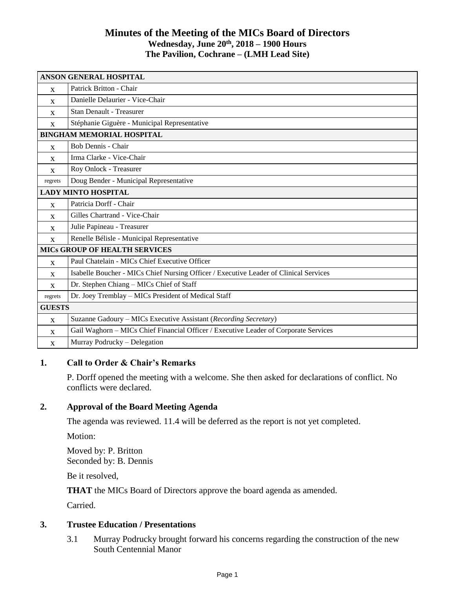## **Minutes of the Meeting of the MICs Board of Directors Wednesday, June 20 th, 2018 – 1900 Hours The Pavilion, Cochrane – (LMH Lead Site)**

| <b>ANSON GENERAL HOSPITAL</b>        |                                                                                       |
|--------------------------------------|---------------------------------------------------------------------------------------|
| X                                    | Patrick Britton - Chair                                                               |
| $\mathbf{x}$                         | Danielle Delaurier - Vice-Chair                                                       |
| X                                    | Stan Denault - Treasurer                                                              |
| X                                    | Stéphanie Giguère - Municipal Representative                                          |
| <b>BINGHAM MEMORIAL HOSPITAL</b>     |                                                                                       |
| $\mathbf{x}$                         | Bob Dennis - Chair                                                                    |
| $\mathbf{x}$                         | Irma Clarke - Vice-Chair                                                              |
| $\mathbf{x}$                         | Roy Onlock - Treasurer                                                                |
| regrets                              | Doug Bender - Municipal Representative                                                |
| <b>LADY MINTO HOSPITAL</b>           |                                                                                       |
| X                                    | Patricia Dorff - Chair                                                                |
| X                                    | Gilles Chartrand - Vice-Chair                                                         |
| $\mathbf{x}$                         | Julie Papineau - Treasurer                                                            |
| X                                    | Renelle Bélisle - Municipal Representative                                            |
| <b>MICS GROUP OF HEALTH SERVICES</b> |                                                                                       |
| $\mathbf{x}$                         | Paul Chatelain - MICs Chief Executive Officer                                         |
| X                                    | Isabelle Boucher - MICs Chief Nursing Officer / Executive Leader of Clinical Services |
| $\mathbf{x}$                         | Dr. Stephen Chiang - MICs Chief of Staff                                              |
| regrets                              | Dr. Joey Tremblay - MICs President of Medical Staff                                   |
| <b>GUESTS</b>                        |                                                                                       |
| $\mathbf{x}$                         | Suzanne Gadoury - MICs Executive Assistant (Recording Secretary)                      |
| $\mathbf{x}$                         | Gail Waghorn - MICs Chief Financial Officer / Executive Leader of Corporate Services  |
| X                                    | Murray Podrucky - Delegation                                                          |

## **1. Call to Order & Chair's Remarks**

P. Dorff opened the meeting with a welcome. She then asked for declarations of conflict. No conflicts were declared.

## **2. Approval of the Board Meeting Agenda**

The agenda was reviewed. 11.4 will be deferred as the report is not yet completed.

Motion:

Moved by: P. Britton Seconded by: B. Dennis

Be it resolved,

**THAT** the MICs Board of Directors approve the board agenda as amended.

Carried.

#### **3. Trustee Education / Presentations**

3.1 Murray Podrucky brought forward his concerns regarding the construction of the new South Centennial Manor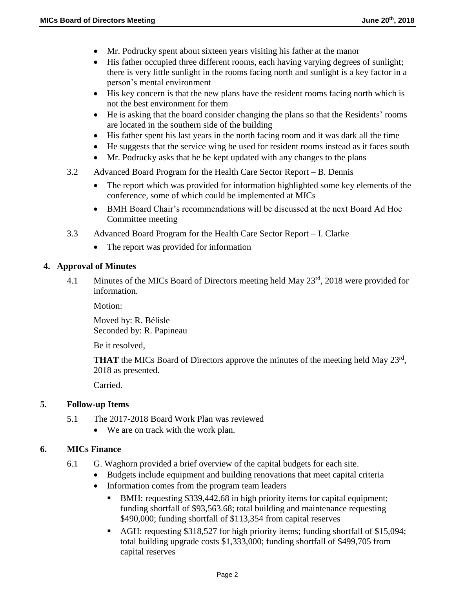- Mr. Podrucky spent about sixteen years visiting his father at the manor
- His father occupied three different rooms, each having varying degrees of sunlight; there is very little sunlight in the rooms facing north and sunlight is a key factor in a person's mental environment
- His key concern is that the new plans have the resident rooms facing north which is not the best environment for them
- He is asking that the board consider changing the plans so that the Residents' rooms are located in the southern side of the building
- His father spent his last years in the north facing room and it was dark all the time
- He suggests that the service wing be used for resident rooms instead as it faces south
- Mr. Podrucky asks that he be kept updated with any changes to the plans
- 3.2 Advanced Board Program for the Health Care Sector Report B. Dennis
	- The report which was provided for information highlighted some key elements of the conference, some of which could be implemented at MICs
	- BMH Board Chair's recommendations will be discussed at the next Board Ad Hoc Committee meeting
- 3.3 Advanced Board Program for the Health Care Sector Report I. Clarke
	- The report was provided for information

### **4. Approval of Minutes**

4.1 Minutes of the MICs Board of Directors meeting held May 23<sup>rd</sup>, 2018 were provided for information.

Motion:

Moved by: R. Bélisle Seconded by: R. Papineau

Be it resolved,

**THAT** the MICs Board of Directors approve the minutes of the meeting held May 23<sup>rd</sup>, 2018 as presented.

Carried.

## **5. Follow-up Items**

- 5.1 The 2017-2018 Board Work Plan was reviewed
	- We are on track with the work plan.

## **6. MICs Finance**

- 6.1 G. Waghorn provided a brief overview of the capital budgets for each site.
	- Budgets include equipment and building renovations that meet capital criteria
	- Information comes from the program team leaders
		- BMH: requesting \$339,442.68 in high priority items for capital equipment; funding shortfall of \$93,563.68; total building and maintenance requesting \$490,000; funding shortfall of \$113,354 from capital reserves
		- AGH: requesting \$318,527 for high priority items; funding shortfall of \$15,094; total building upgrade costs \$1,333,000; funding shortfall of \$499,705 from capital reserves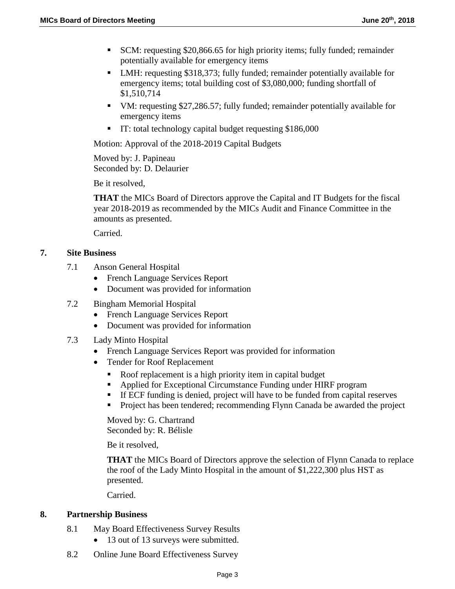- SCM: requesting \$20,866.65 for high priority items; fully funded; remainder potentially available for emergency items
- LMH: requesting \$318,373; fully funded; remainder potentially available for emergency items; total building cost of \$3,080,000; funding shortfall of \$1,510,714
- VM: requesting \$27,286.57; fully funded; remainder potentially available for emergency items
- IT: total technology capital budget requesting \$186,000

Motion: Approval of the 2018-2019 Capital Budgets

Moved by: J. Papineau Seconded by: D. Delaurier

Be it resolved,

**THAT** the MICs Board of Directors approve the Capital and IT Budgets for the fiscal year 2018-2019 as recommended by the MICs Audit and Finance Committee in the amounts as presented.

Carried.

### **7. Site Business**

- 7.1 Anson General Hospital
	- French Language Services Report
	- Document was provided for information
- 7.2 Bingham Memorial Hospital
	- French Language Services Report
	- Document was provided for information
- 7.3 Lady Minto Hospital
	- French Language Services Report was provided for information
	- Tender for Roof Replacement
		- Roof replacement is a high priority item in capital budget
		- Applied for Exceptional Circumstance Funding under HIRF program
		- If ECF funding is denied, project will have to be funded from capital reserves
		- **Project has been tendered; recommending Flynn Canada be awarded the project**

Moved by: G. Chartrand Seconded by: R. Bélisle

Be it resolved,

**THAT** the MICs Board of Directors approve the selection of Flynn Canada to replace the roof of the Lady Minto Hospital in the amount of \$1,222,300 plus HST as presented.

Carried.

#### **8. Partnership Business**

- 8.1 May Board Effectiveness Survey Results
	- 13 out of 13 surveys were submitted.
- 8.2 Online June Board Effectiveness Survey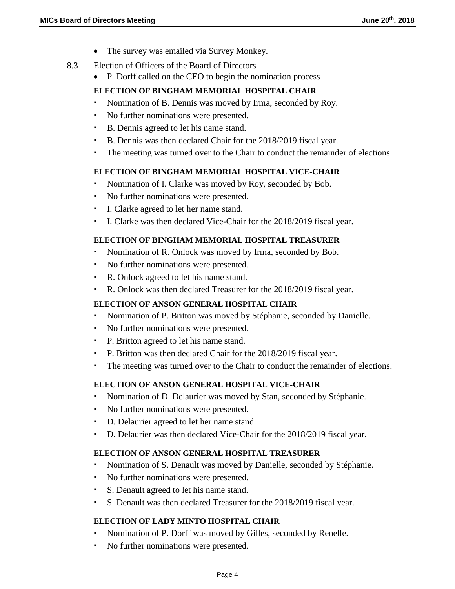- The survey was emailed via Survey Monkey.
- 8.3 Election of Officers of the Board of Directors
	- P. Dorff called on the CEO to begin the nomination process

### **ELECTION OF BINGHAM MEMORIAL HOSPITAL CHAIR**

- Nomination of B. Dennis was moved by Irma, seconded by Roy.
- No further nominations were presented.
- B. Dennis agreed to let his name stand.
- B. Dennis was then declared Chair for the 2018/2019 fiscal year.
- The meeting was turned over to the Chair to conduct the remainder of elections.

### **ELECTION OF BINGHAM MEMORIAL HOSPITAL VICE-CHAIR**

- Nomination of I. Clarke was moved by Roy, seconded by Bob.
- No further nominations were presented.
- I. Clarke agreed to let her name stand.
- I. Clarke was then declared Vice-Chair for the 2018/2019 fiscal year.

#### **ELECTION OF BINGHAM MEMORIAL HOSPITAL TREASURER**

- Nomination of R. Onlock was moved by Irma, seconded by Bob.
- No further nominations were presented.
- R. Onlock agreed to let his name stand.
- R. Onlock was then declared Treasurer for the 2018/2019 fiscal year.

#### **ELECTION OF ANSON GENERAL HOSPITAL CHAIR**

- Nomination of P. Britton was moved by Stéphanie, seconded by Danielle.
- No further nominations were presented.
- P. Britton agreed to let his name stand.
- P. Britton was then declared Chair for the 2018/2019 fiscal year.
- The meeting was turned over to the Chair to conduct the remainder of elections.

## **ELECTION OF ANSON GENERAL HOSPITAL VICE-CHAIR**

- Nomination of D. Delaurier was moved by Stan, seconded by Stéphanie.
- No further nominations were presented.
- D. Delaurier agreed to let her name stand.
- D. Delaurier was then declared Vice-Chair for the 2018/2019 fiscal year.

#### **ELECTION OF ANSON GENERAL HOSPITAL TREASURER**

- Nomination of S. Denault was moved by Danielle, seconded by Stéphanie.
- No further nominations were presented.
- S. Denault agreed to let his name stand.
- S. Denault was then declared Treasurer for the 2018/2019 fiscal year.

## **ELECTION OF LADY MINTO HOSPITAL CHAIR**

- Nomination of P. Dorff was moved by Gilles, seconded by Renelle.
- No further nominations were presented.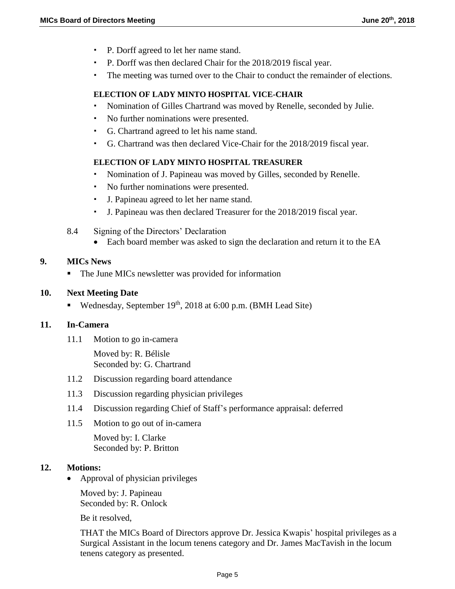- P. Dorff agreed to let her name stand.
- P. Dorff was then declared Chair for the 2018/2019 fiscal year.
- The meeting was turned over to the Chair to conduct the remainder of elections.

## **ELECTION OF LADY MINTO HOSPITAL VICE-CHAIR**

- Nomination of Gilles Chartrand was moved by Renelle, seconded by Julie.
- No further nominations were presented.
- G. Chartrand agreed to let his name stand.
- G. Chartrand was then declared Vice-Chair for the 2018/2019 fiscal year.

## **ELECTION OF LADY MINTO HOSPITAL TREASURER**

- Nomination of J. Papineau was moved by Gilles, seconded by Renelle.
- No further nominations were presented.
- J. Papineau agreed to let her name stand.
- J. Papineau was then declared Treasurer for the 2018/2019 fiscal year.
- 8.4 Signing of the Directors' Declaration
	- Each board member was asked to sign the declaration and return it to the EA

# **9. MICs News**

• The June MICs newsletter was provided for information

## **10. Next Meeting Date**

Wednesday, September  $19<sup>th</sup>$ , 2018 at 6:00 p.m. (BMH Lead Site)

## **11. In-Camera**

11.1 Motion to go in-camera

Moved by: R. Bélisle Seconded by: G. Chartrand

- 11.2 Discussion regarding board attendance
- 11.3 Discussion regarding physician privileges
- 11.4 Discussion regarding Chief of Staff's performance appraisal: deferred
- 11.5 Motion to go out of in-camera

Moved by: I. Clarke Seconded by: P. Britton

## **12. Motions:**

• Approval of physician privileges

Moved by: J. Papineau Seconded by: R. Onlock

Be it resolved,

THAT the MICs Board of Directors approve Dr. Jessica Kwapis' hospital privileges as a Surgical Assistant in the locum tenens category and Dr. James MacTavish in the locum tenens category as presented.